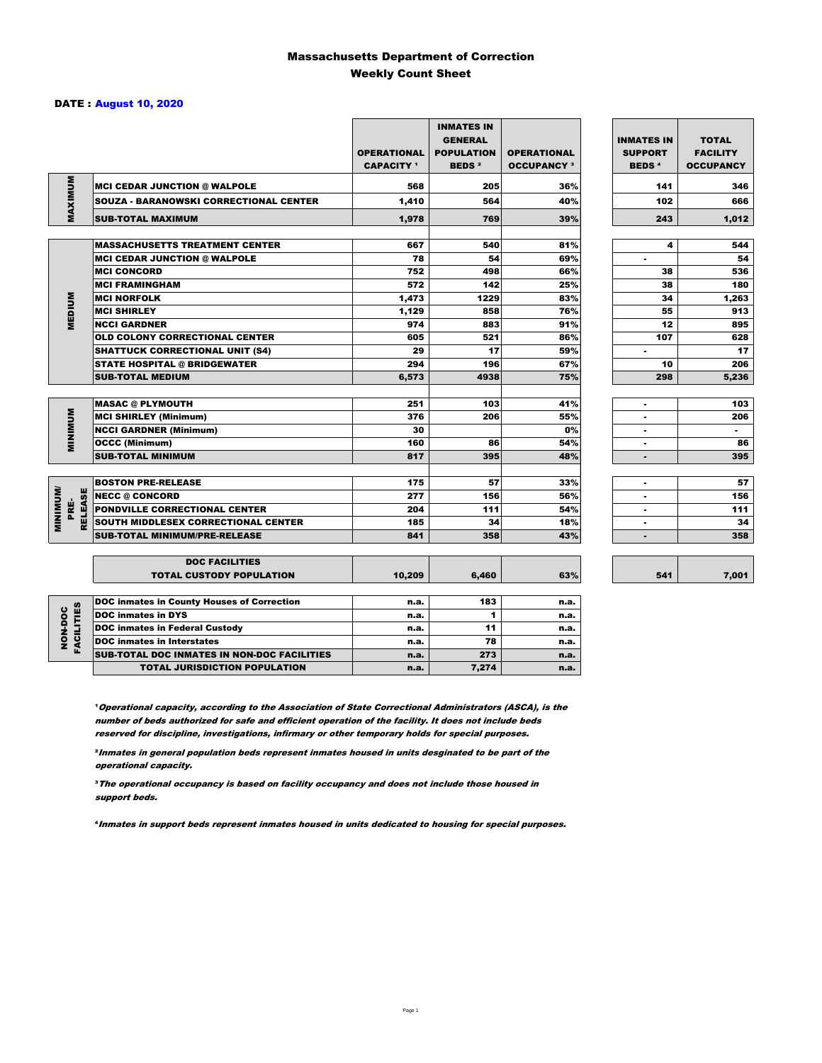### Massachusetts Department of Correction Weekly Count Sheet

### DATE : August 10, 2020

|                                   |                                                          | <b>OPERATIONAL</b><br><b>CAPACITY</b> 1 | <b>INMATES IN</b><br><b>GENERAL</b><br><b>POPULATION</b><br><b>BEDS<sup>2</sup></b> | <b>OPERATIONAL</b><br><b>OCCUPANCY 3</b> | <b>INMATES IN</b><br><b>SUPPORT</b><br><b>BEDS<sup>4</sup></b> | <b>TOTAL</b><br><b>FACILITY</b><br><b>OCCUPANCY</b> |
|-----------------------------------|----------------------------------------------------------|-----------------------------------------|-------------------------------------------------------------------------------------|------------------------------------------|----------------------------------------------------------------|-----------------------------------------------------|
|                                   | <b>MCI CEDAR JUNCTION @ WALPOLE</b>                      | 568                                     | 205                                                                                 | 36%                                      | 141                                                            | 346                                                 |
|                                   | <b>SOUZA - BARANOWSKI CORRECTIONAL CENTER</b>            | 1,410                                   | 564                                                                                 | 40%                                      | 102                                                            | 666                                                 |
| MAXIMUM                           | <b>SUB-TOTAL MAXIMUM</b>                                 | 1.978                                   | 769                                                                                 | 39%                                      | 243                                                            | 1,012                                               |
|                                   |                                                          |                                         |                                                                                     |                                          |                                                                |                                                     |
|                                   | <b>MASSACHUSETTS TREATMENT CENTER</b>                    | 667                                     | 540                                                                                 | 81%                                      | 4                                                              | 544                                                 |
|                                   | <b>MCI CEDAR JUNCTION @ WALPOLE</b>                      | 78                                      | 54                                                                                  | 69%                                      | ٠                                                              | 54                                                  |
|                                   | <b>MCI CONCORD</b>                                       | 752                                     | 498                                                                                 | 66%                                      | 38                                                             | 536                                                 |
|                                   | <b>MCI FRAMINGHAM</b>                                    | 572                                     | 142                                                                                 | 25%                                      | 38                                                             | 180                                                 |
|                                   | <b>MCI NORFOLK</b>                                       | 1,473                                   | 1229                                                                                | 83%                                      | 34                                                             | 1,263                                               |
| <b>MEDIUM</b>                     | <b>MCI SHIRLEY</b>                                       | 1,129                                   | 858                                                                                 | 76%                                      | 55                                                             | 913                                                 |
|                                   | <b>NCCI GARDNER</b>                                      | 974                                     | 883                                                                                 | 91%                                      | 12                                                             | 895                                                 |
|                                   | <b>OLD COLONY CORRECTIONAL CENTER</b>                    | 605                                     | 521                                                                                 | 86%                                      | 107                                                            | 628                                                 |
|                                   | <b>SHATTUCK CORRECTIONAL UNIT (S4)</b>                   | 29                                      | 17                                                                                  | 59%                                      | ٠                                                              | 17                                                  |
|                                   | <b>STATE HOSPITAL @ BRIDGEWATER</b>                      | 294                                     | 196                                                                                 | 67%                                      | 10                                                             | 206                                                 |
|                                   | <b>SUB-TOTAL MEDIUM</b>                                  | 6,573                                   | 4938                                                                                | 75%                                      | 298                                                            | 5,236                                               |
|                                   |                                                          | 251                                     | 103                                                                                 | 41%                                      |                                                                | 103                                                 |
|                                   | <b>MASAC @ PLYMOUTH</b>                                  | 376                                     | 206                                                                                 | 55%                                      | ×                                                              | 206                                                 |
| <b>MINIMUM</b>                    | <b>MCI SHIRLEY (Minimum)</b>                             | 30                                      |                                                                                     |                                          |                                                                | $\sim$                                              |
|                                   | <b>NCCI GARDNER (Minimum)</b>                            |                                         |                                                                                     | 0%<br>54%                                | ٠                                                              | 86                                                  |
|                                   | <b>OCCC (Minimum)</b>                                    | 160                                     | 86                                                                                  |                                          | ٠                                                              |                                                     |
|                                   | <b>SUB-TOTAL MINIMUM</b>                                 | 817                                     | 395                                                                                 | 48%                                      | $\blacksquare$                                                 | 395                                                 |
|                                   | <b>BOSTON PRE-RELEASE</b>                                | 175                                     | 57                                                                                  | 33%                                      | $\overline{\phantom{a}}$                                       | 57                                                  |
|                                   | <b>NECC @ CONCORD</b>                                    | 277                                     | 156                                                                                 | 56%                                      |                                                                | 156                                                 |
| PRE-                              | <b>PONDVILLE CORRECTIONAL CENTER</b>                     | 204                                     | 111                                                                                 | 54%                                      | ٠                                                              | 111                                                 |
| <b>MINIMINU</b><br><b>RELEASE</b> | SOUTH MIDDLESEX CORRECTIONAL CENTER                      | 185                                     | 34                                                                                  | 18%                                      | ٠                                                              | 34                                                  |
|                                   | <b>SUB-TOTAL MINIMUM/PRE-RELEASE</b>                     | 841                                     | 358                                                                                 | 43%                                      |                                                                | 358                                                 |
|                                   |                                                          |                                         |                                                                                     |                                          |                                                                |                                                     |
|                                   | <b>DOC FACILITIES</b><br><b>TOTAL CUSTODY POPULATION</b> | 10,209                                  | 6,460                                                                               | 63%                                      | 541                                                            | 7,001                                               |
|                                   | <b>DOC inmates in County Houses of Correction</b>        | n.a.                                    | 183                                                                                 | n.a.                                     |                                                                |                                                     |
| <b>FACILITIES</b>                 | <b>DOC</b> inmates in DYS                                | n.a.                                    | 1                                                                                   | n.a.                                     |                                                                |                                                     |
| NON-DOC                           | <b>DOC inmates in Federal Custody</b>                    | n.a.                                    | 11                                                                                  | n.a.                                     |                                                                |                                                     |
|                                   | <b>DOC</b> inmates in Interstates                        | n.a.                                    | 78                                                                                  | n.a.                                     |                                                                |                                                     |
|                                   | CUR TOTAL BOO INIMETED IN NON-BOO FACULTIES              |                                         | 272                                                                                 |                                          |                                                                |                                                     |

**Operational capacity, according to the Association of State Correctional Administrators (ASCA), is the** number of beds authorized for safe and efficient operation of the facility. It does not include beds reserved for discipline, investigations, infirmary or other temporary holds for special purposes.

SUB-TOTAL DOC INMATES IN NON-DOC FACILITIES n.a. 273 n.a.

TOTAL JURISDICTION POPULATION **n.a.** 7,274 n.a.

²Inmates in general population beds represent inmates housed in units desginated to be part of the operational capacity.

³The operational occupancy is based on facility occupancy and does not include those housed in support beds.

⁴Inmates in support beds represent inmates housed in units dedicated to housing for special purposes.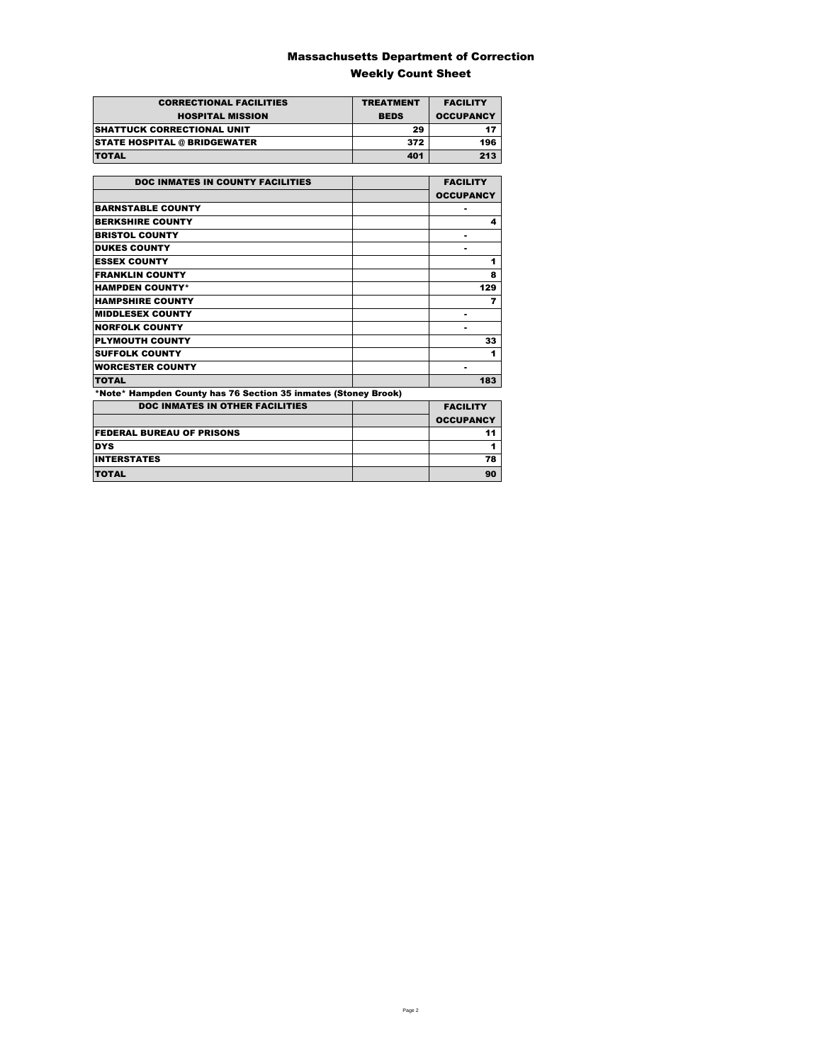### Massachusetts Department of Correction Weekly Count Sheet

| <b>CORRECTIONAL FACILITIES</b>      | <b>TREATMENT</b> | <b>FACILITY</b>  |
|-------------------------------------|------------------|------------------|
| <b>HOSPITAL MISSION</b>             | <b>BEDS</b>      | <b>OCCUPANCY</b> |
| <b>ISHATTUCK CORRECTIONAL UNIT</b>  | 29               |                  |
| <b>STATE HOSPITAL @ BRIDGEWATER</b> | 372              | 196              |
| <b>TOTAL</b>                        | 401              | 213              |

| <b>DOC INMATES IN COUNTY FACILITIES</b>                        | <b>FACILITY</b>  |
|----------------------------------------------------------------|------------------|
|                                                                | <b>OCCUPANCY</b> |
| <b>BARNSTABLE COUNTY</b>                                       |                  |
| <b>BERKSHIRE COUNTY</b>                                        | 4                |
| <b>BRISTOL COUNTY</b>                                          |                  |
| <b>DUKES COUNTY</b>                                            |                  |
| <b>ESSEX COUNTY</b>                                            | 1                |
| <b>FRANKLIN COUNTY</b>                                         | 8                |
| <b>HAMPDEN COUNTY*</b>                                         | 129              |
| <b>HAMPSHIRE COUNTY</b>                                        | 7                |
| <b>MIDDLESEX COUNTY</b>                                        | -                |
| <b>NORFOLK COUNTY</b>                                          |                  |
| <b>PLYMOUTH COUNTY</b>                                         | 33               |
| <b>SUFFOLK COUNTY</b>                                          | 1                |
| <b>WORCESTER COUNTY</b>                                        | ۰                |
| <b>TOTAL</b>                                                   | 183              |
| *Note* Hampden County has 76 Section 35 inmates (Stoney Brook) |                  |
| <b>DOC INMATES IN OTHER FACILITIES</b>                         | <b>FACILITY</b>  |
|                                                                | <b>OCCUPANCY</b> |
| <b>FEDERAL BUREAU OF PRISONS</b>                               | 11               |
| <b>DYS</b>                                                     | 1                |
| <b>INTERSTATES</b>                                             | 78               |
| <b>TOTAL</b>                                                   | 90               |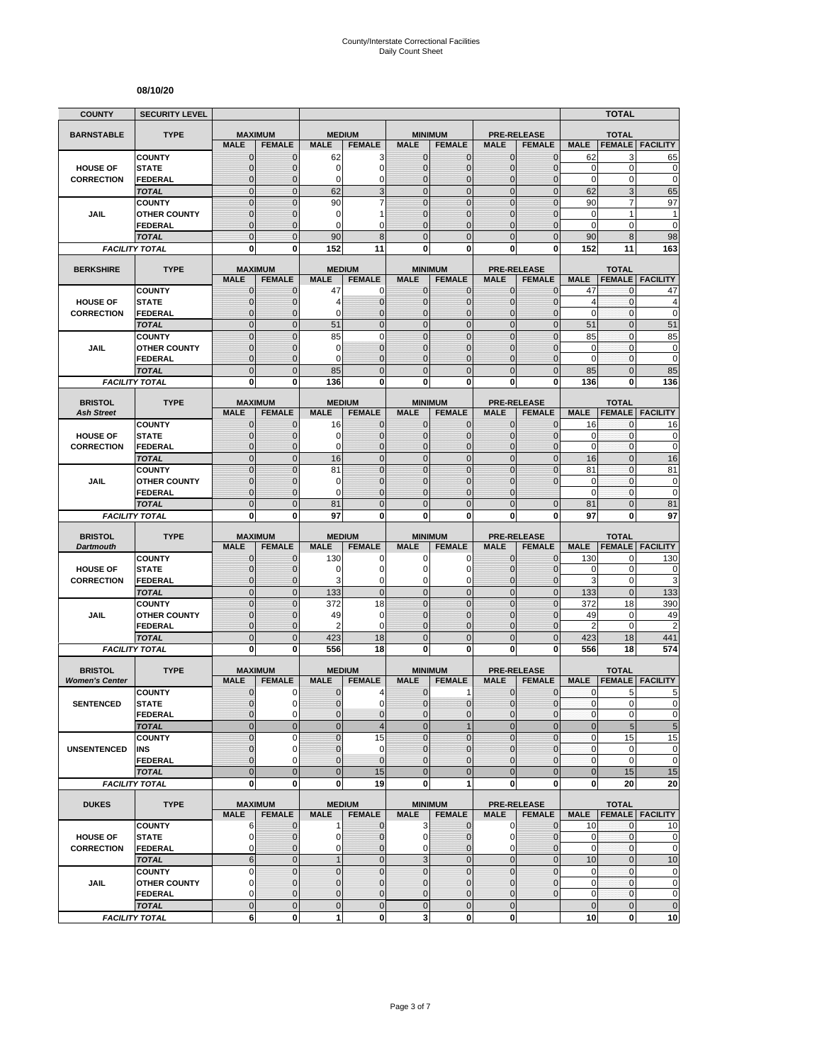#### **08/10/20**

| <b>COUNTY</b>                           | <b>SECURITY LEVEL</b>                |                                  |                              |                             |                                  |                                |                                  |                                |                                     |                            | <b>TOTAL</b>                     |                            |
|-----------------------------------------|--------------------------------------|----------------------------------|------------------------------|-----------------------------|----------------------------------|--------------------------------|----------------------------------|--------------------------------|-------------------------------------|----------------------------|----------------------------------|----------------------------|
| <b>BARNSTABLE</b>                       | <b>TYPE</b>                          | <b>MAXIMUM</b>                   |                              | <b>MEDIUM</b>               |                                  |                                | <b>MINIMUM</b>                   |                                | <b>PRE-RELEASE</b>                  |                            | <b>TOTAL</b>                     |                            |
|                                         |                                      | <b>MALE</b>                      | <b>FEMALE</b>                | <b>MALE</b>                 | <b>FEMALE</b>                    | <b>MALE</b>                    | <b>FEMALE</b>                    | <b>MALE</b>                    | <b>FEMALE</b>                       | <b>MALE</b>                | <b>FEMALE</b>                    | <b>FACILITY</b>            |
|                                         | <b>COUNTY</b>                        | $\mathbf 0$                      | $\mathbf{0}$                 | 62                          | 3                                | $\mathbf 0$                    | 0                                | $\mathbf{0}$                   | $\mathbf{0}$                        | 62                         | 3                                | 65                         |
| <b>HOUSE OF</b>                         | <b>STATE</b>                         | $\mathbf{0}$                     | $\mathbf 0$                  | 0<br>0                      | $\mathbf 0$                      | $\mathbf 0$<br>$\mathbf{0}$    | $\overline{0}$                   | $\mathbf{0}$                   | $\overline{0}$                      | $\mathbf 0$<br>$\mathbf 0$ | $\mathbf 0$<br>0                 | $\mathbf 0$<br>$\mathbf 0$ |
| <b>CORRECTION</b>                       | FEDERAL<br><b>TOTAL</b>              | $\mathbf 0$<br>$\mathbf 0$       | $\mathbf{0}$<br>$\mathbf{0}$ | 62                          | 0<br>3                           | $\overline{0}$                 | $\mathbf 0$<br>$\mathbf 0$       | $\mathbf 0$<br>$\mathbf{0}$    | $\overline{0}$<br>$\mathbf 0$       | 62                         | 3                                | 65                         |
|                                         | <b>COUNTY</b>                        | $\mathbf 0$                      | $\mathbf{0}$                 | 90                          | 7                                | $\mathbf 0$                    | $\mathbf 0$                      | $\mathbf 0$                    | $\overline{0}$                      | 90                         | 7                                | 97                         |
| JAIL                                    | <b>OTHER COUNTY</b>                  | $\mathbf 0$                      | $\mathbf{0}$                 | 0                           | 1                                | $\mathbf{0}$                   | $\overline{0}$                   | $\mathbf 0$                    | $\overline{0}$                      | $\mathbf 0$                | 1                                | 1                          |
|                                         | <b>FEDERAL</b>                       | $\mathbf 0$                      | $\mathbf{0}$                 | 0                           | C                                | $\Omega$                       | $\overline{0}$                   | $\Omega$                       | $\overline{0}$                      | $\mathbf 0$                | 0                                | $\mathbf 0$                |
|                                         | <b>TOTAL</b>                         | $\overline{0}$                   | $\Omega$                     | 90                          | 8                                | $\Omega$                       | $\overline{0}$                   | $\Omega$                       | $\overline{0}$                      | 90                         | 8                                | 98                         |
|                                         | <b>FACILITY TOTAL</b>                | 0                                | 0                            | 152                         | 11                               | $\mathbf{0}$                   | 0                                | 0                              | 0                                   | 152                        | 11                               | 163                        |
| <b>BERKSHIRE</b>                        | <b>TYPE</b>                          | <b>MAXIMUM</b>                   |                              |                             | <b>MEDIUM</b>                    |                                | <b>MINIMUM</b>                   |                                | <b>PRE-RELEASE</b>                  |                            | <b>TOTAL</b>                     |                            |
|                                         |                                      | <b>MALE</b>                      | <b>FEMALE</b>                | <b>MALE</b>                 | <b>FEMALE</b>                    | <b>MALE</b>                    | <b>FEMALE</b>                    | <b>MALE</b>                    | <b>FEMALE</b>                       | <b>MALE</b>                | <b>FEMALE</b>                    | <b>FACILITY</b>            |
|                                         | <b>COUNTY</b>                        | $\mathbf{0}$                     | $\mathbf 0$                  | 47                          | 0                                | $\mathbf{0}$                   | $\mathbf{0}$                     | $\mathbf{0}$                   | $\mathbf 0$                         | 47                         | 0                                | 47                         |
| <b>HOUSE OF</b>                         | <b>STATE</b>                         | 0                                | $\mathbf{0}$                 | 4                           | $\mathbf 0$                      | $\mathbf{0}$                   | $\mathbf 0$                      | $\mathbf{0}$                   | $\mathbf{0}$                        | $\overline{4}$             | 0                                | 4                          |
| <b>CORRECTION</b>                       | <b>FEDERAL</b><br><b>TOTAL</b>       | $\mathbf 0$<br>$\overline{0}$    | $\mathbf 0$<br>$\mathbf{0}$  | 0<br>51                     | $\overline{0}$<br>$\overline{0}$ | $\mathbf{0}$<br>$\overline{0}$ | $\overline{0}$<br>$\overline{0}$ | $\mathbf{0}$<br>$\mathbf{0}$   | $\mathbf 0$<br>$\overline{0}$       | $\mathbf 0$<br>51          | 0<br>$\overline{0}$              | $\mathbf 0$<br>51          |
|                                         | <b>COUNTY</b>                        | $\overline{0}$                   | $\overline{0}$               | 85                          | $\overline{0}$                   | $\mathbf 0$                    | $\overline{0}$                   | $\overline{0}$                 | $\overline{0}$                      | 85                         | $\mathbf{0}$                     | 85                         |
| <b>JAIL</b>                             | <b>OTHER COUNTY</b>                  | 0                                | $\mathbf{0}$                 | 0                           | $\overline{0}$                   | $\mathbf{0}$                   | $\mathbf 0$                      | $\Omega$                       | $\mathbf{0}$                        | 0                          | $\mathbf{0}$                     | $\pmb{0}$                  |
|                                         | <b>FEDERAL</b>                       | $\mathbf 0$                      | $\mathbf{0}$                 | 0                           | $\overline{0}$                   | $\mathbf{0}$                   | $\overline{0}$                   | $\mathbf 0$                    | $\overline{0}$                      | $\mathbf 0$                | $\mathbf{0}$                     | $\mathbf 0$                |
|                                         | <b>TOTAL</b>                         | $\mathbf 0$                      | $\mathbf{0}$                 | 85                          | $\overline{0}$                   | $\mathbf{0}$                   | $\mathbf 0$                      | $\mathbf{0}$                   | $\mathbf 0$                         | 85                         | $\overline{0}$                   | 85                         |
|                                         | <b>FACILITY TOTAL</b>                | 0                                | $\mathbf{0}$                 | 136                         | 0                                | 0                              | $\bf{0}$                         | 0                              | 0                                   | 136                        | 0                                | 136                        |
| <b>BRISTOL</b>                          | <b>TYPE</b>                          | <b>MAXIMUM</b>                   |                              |                             | <b>MEDIUM</b>                    |                                | <b>MINIMUM</b>                   |                                | <b>PRE-RELEASE</b>                  |                            | <b>TOTAL</b>                     |                            |
| <b>Ash Street</b>                       |                                      | <b>MALE</b>                      | <b>FEMALE</b>                | <b>MALE</b>                 | <b>FEMALE</b>                    | <b>MALE</b>                    | <b>FEMALE</b>                    | <b>MALE</b>                    | <b>FEMALE</b>                       | <b>MALE</b>                | <b>FEMALE</b>                    | <b>FACILITY</b>            |
|                                         | <b>COUNTY</b>                        | 0                                | $\mathbf{0}$                 | 16                          | $\mathbf 0$                      | $\mathbf 0$                    | 0                                | $\mathbf{0}$                   | $\overline{0}$                      | 16                         | 0                                | 16                         |
| <b>HOUSE OF</b>                         | <b>STATE</b>                         | $\mathbf{0}$                     | $\mathbf{0}$                 | 0                           | $\mathbf 0$                      | $\mathbf{0}$                   | $\mathbf{0}$                     | $\mathbf{0}$                   | $\mathbf{0}$                        | 0                          | 0                                | 0                          |
| <b>CORRECTION</b>                       | <b>FEDERAL</b>                       | $\mathbf{0}$                     | $\mathbf{0}$                 | 0                           | $\overline{0}$                   | $\mathbf{0}$                   | $\mathbf{0}$                     | $\mathbf{0}$                   | $\overline{0}$                      | $\mathbf 0$                | 0                                | $\mathbf 0$                |
|                                         | <b>TOTAL</b>                         | $\overline{0}$<br>$\overline{0}$ | $\mathbf{0}$<br>$\Omega$     | 16<br>81                    | $\overline{0}$<br>$\overline{0}$ | $\mathbf 0$<br>$\mathbf 0$     | $\overline{0}$<br>$\overline{0}$ | $\mathbf{0}$<br>$\overline{0}$ | $\overline{0}$<br>$\overline{0}$    | 16<br>81                   | $\overline{0}$<br>$\overline{0}$ | 16<br>81                   |
| JAIL                                    | <b>COUNTY</b><br><b>OTHER COUNTY</b> | $\mathbf 0$                      | $\mathbf 0$                  | 0                           | $\overline{0}$                   | $\mathbf{0}$                   | $\overline{0}$                   | $\mathbf 0$                    | $\overline{0}$                      | $\mathbf 0$                | $\mathbf{0}$                     | $\mathbf 0$                |
|                                         | <b>FEDERAL</b>                       | $\overline{0}$                   | $\mathbf{0}$                 | 0                           | $\overline{0}$                   | $\Omega$                       | $\mathbf 0$                      | $\Omega$                       |                                     | $\mathbf 0$                | $\mathbf{0}$                     | $\mathbf 0$                |
|                                         | <b>TOTAL</b>                         | $\overline{0}$                   | $\mathbf{0}$                 | 81                          | $\overline{0}$                   | $\overline{0}$                 | $\overline{0}$                   | $\overline{0}$                 | $\overline{0}$                      | 81                         | $\overline{0}$                   | 81                         |
|                                         | <b>FACILITY TOTAL</b>                | 0                                | 0                            | 97                          | 0                                | 0                              | 0                                | 0                              | 0                                   | 97                         | 0                                | 97                         |
| <b>BRISTOL</b>                          | <b>TYPE</b>                          | <b>MAXIMUM</b>                   |                              |                             | <b>MEDIUM</b>                    |                                |                                  |                                | <b>PRE-RELEASE</b>                  |                            |                                  |                            |
| <b>Dartmouth</b>                        |                                      | <b>MALE</b>                      | <b>FEMALE</b>                | <b>MALE</b>                 | <b>FEMALE</b>                    | <b>MALE</b>                    | <b>MINIMUM</b><br><b>FEMALE</b>  | <b>MALE</b>                    | <b>FEMALE</b>                       | <b>MALE</b>                | <b>TOTAL</b><br><b>FEMALE</b>    | <b>FACILITY</b>            |
|                                         | <b>COUNTY</b>                        | $\mathbf 0$                      | $\mathbf 0$                  | 130                         | 0                                | 0                              | 0                                | $\mathbf 0$                    | $\overline{0}$                      | 130                        | 0                                | 130                        |
| <b>HOUSE OF</b>                         | <b>STATE</b>                         | $\mathbf 0$                      | $\mathbf{0}$                 | 0                           | $\overline{0}$                   | $\Omega$                       | 0                                | $\Omega$                       | $\mathbf{0}$                        | 0                          | $\mathbf 0$                      | 0                          |
| <b>CORRECTION</b>                       | <b>FEDERAL</b>                       | $\mathbf 0$                      | $\mathbf{0}$                 | 3                           | 0                                | $\mathbf 0$                    | 0                                | $\mathbf 0$                    | $\mathbf{0}$                        | 3                          | 0                                | 3                          |
|                                         | <b>TOTAL</b>                         | $\mathbf 0$                      | $\mathbf{0}$                 | 133                         | $\mathbf 0$                      | $\overline{0}$<br>$\mathbf{0}$ | $\mathbf 0$                      | $\mathbf{0}$                   | $\overline{0}$                      | 133                        | $\mathbf{0}$                     | 133                        |
| JAIL                                    | <b>COUNTY</b><br><b>OTHER COUNTY</b> | $\mathbf 0$<br>$\overline{0}$    | $\mathbf{0}$<br>$\mathbf{0}$ | 372<br>49                   | 18<br>$\mathbf 0$                | $\mathbf{0}$                   | $\mathbf 0$<br>$\overline{0}$    | $\mathbf{0}$<br>$\mathbf 0$    | $\mathbf 0$<br>$\overline{0}$       | 372<br>49                  | 18<br>0                          | 390<br>49                  |
|                                         | <b>FEDERAL</b>                       | $\mathbf 0$                      | $\mathbf{0}$                 | 2                           | 0                                | $\mathbf{0}$                   | 0                                | $\mathbf{0}$                   | $\mathbf 0$                         | $\overline{2}$             | $\mathbf 0$                      | $\overline{2}$             |
|                                         | <b>TOTAL</b>                         | $\mathbf 0$                      | $\overline{0}$               | 423                         | 18                               | $\mathbf 0$                    | $\mathbf 0$                      | $\overline{0}$                 | $\mathbf 0$                         | 423                        | 18                               | 441                        |
|                                         | <b>FACILITY TOTAL</b>                | $\mathbf 0$                      | $\mathbf{0}$                 | 556                         | 18                               | $\mathbf{0}$                   | $\bf{0}$                         | 0                              | 0                                   | 556                        | 18                               | 574                        |
|                                         |                                      |                                  |                              |                             |                                  |                                |                                  |                                |                                     |                            |                                  |                            |
| <b>BRISTOL</b><br><b>Women's Center</b> | <b>TYPE</b>                          | <b>MAXIMUM</b><br><b>MALE</b>    | <b>FEMALE</b>                | <b>MALE</b>                 | <b>MEDIUM</b><br><b>FEMALE</b>   | <b>MALE</b>                    | <b>MINIMUM</b><br><b>FEMALE</b>  | <b>MALE</b>                    | <b>PRE-RELEASE</b><br><b>FEMALE</b> | <b>MALE</b>                | <b>TOTAL</b><br><b>FEMALE</b>    | <b>FACILITY</b>            |
|                                         | <b>COUNTY</b>                        | 0                                | 0                            | 0                           | 4                                | $\mathbf 0$                    | 1                                | 0                              | $\mathbf 0$                         | 0                          | 5                                | 5                          |
| <b>SENTENCED</b>                        | <b>STATE</b>                         | $\overline{0}$                   | $\Omega$                     | $\overline{0}$              | $\mathbf 0$                      | $\overline{0}$                 | $\mathbf 0$                      | $\mathbf{0}$                   | $\mathbf{0}$                        | $\mathbf{0}$               | $\overline{0}$                   | 0                          |
|                                         | <b>FEDERAL</b>                       | 0                                | $\mathbf 0$                  | 0                           | $\mathbf 0$                      | $\mathbf{0}$                   | $\mathbf 0$                      | $\mathbf 0$                    | $\mathbf 0$                         | $\pmb{0}$                  | 0                                | $\pmb{0}$                  |
|                                         | <b>TOTAL</b>                         | $\mathbf 0$                      | $\mathbf{0}$                 | $\overline{0}$              | $\overline{\mathcal{A}}$         | $\mathbf{0}$                   | $\mathbf{1}$                     | $\mathbf{0}$                   | $\overline{0}$                      | $\bf 0$                    | $\overline{5}$                   | $\overline{5}$             |
| <b>UNSENTENCED</b>                      | <b>COUNTY</b><br>INS                 | $\mathbf 0$<br>0                 | $\mathbf 0$<br>$\mathbf 0$   | $\overline{0}$<br>$\pmb{0}$ | 15<br>0                          | $\Omega$<br>$\mathbf 0$        | $\overline{0}$<br>0              | $\mathbf 0$<br>$\mathbf{0}$    | $\mathbf 0$<br>$\mathbf 0$          | $\pmb{0}$<br>$\pmb{0}$     | 15<br>0                          | 15<br>$\pmb{0}$            |
|                                         | <b>FEDERAL</b>                       | $\overline{0}$                   | $\Omega$                     | $\overline{0}$              | $\overline{0}$                   | $\mathbf{0}$                   | $\mathbf 0$                      | $\mathbf{0}$                   | $\mathbf 0$                         | $\pmb{0}$                  | 0                                | $\mathbf 0$                |
|                                         | <b>TOTAL</b>                         | $\overline{0}$                   | $\mathbf{0}$                 | $\mathbf 0$                 | 15                               | $\overline{0}$                 | $\overline{0}$                   | $\overline{0}$                 | $\overline{0}$                      | $\bf 0$                    | 15                               | 15                         |
|                                         | <b>FACILITY TOTAL</b>                | $\mathbf{0}$                     | $\mathbf{0}$                 | 0                           | 19                               | $\mathbf{0}$                   | 1                                | $\mathbf 0$                    | 0                                   | 0                          | 20                               | 20                         |
| <b>DUKES</b>                            | <b>TYPE</b>                          | <b>MAXIMUM</b>                   |                              |                             | <b>MEDIUM</b>                    |                                | <b>MINIMUM</b>                   |                                | <b>PRE-RELEASE</b>                  |                            |                                  |                            |
|                                         |                                      | <b>MALE</b>                      | <b>FEMALE</b>                | <b>MALE</b>                 | <b>FEMALE</b>                    | <b>MALE</b>                    | <b>FEMALE</b>                    | <b>MALE</b>                    | <b>FEMALE</b>                       |                            | <b>TOTAL</b>                     | MALE   FEMALE   FACILITY   |
|                                         | <b>COUNTY</b>                        | 6                                | $\mathbf{0}$                 | 1                           | $\mathbf 0$                      | 3 <sup>1</sup>                 | $\mathbf 0$                      | $\mathbf 0$                    | $\mathbf 0$                         | 10                         | $\mathbf{0}$                     | 10                         |
| <b>HOUSE OF</b>                         | <b>STATE</b>                         | $\mathbf 0$                      | 0                            | 0                           | $\overline{0}$                   | $\overline{0}$                 | 0                                | 0                              | $\mathbf 0$                         | 0                          | 0                                | $\pmb{0}$                  |
| <b>CORRECTION</b>                       | <b>FEDERAL</b>                       | 0                                | $\mathbf{0}$                 | 0                           | $\mathbf 0$                      | $\overline{0}$                 | $\overline{0}$                   | $\mathbf 0$                    | $\mathbf 0$                         | $\pmb{0}$                  | 0                                | $\mathbf 0$                |
|                                         | <b>TOTAL</b>                         | $6\phantom{1}$                   | $\mathbf 0$                  | $\mathbf{1}$                | $\mathbf 0$                      | $\mathbf{3}$                   | $\mathbf 0$                      | $\mathbf 0$                    | $\overline{0}$                      | 10                         | $\mathbf 0$                      | 10                         |
| JAIL                                    | <b>COUNTY</b><br><b>OTHER COUNTY</b> | 0<br>$\overline{0}$              | $\mathbf 0$<br>$\mathbf{0}$  | $\pmb{0}$<br>$\mathbf{0}$   | $\mathbf 0$<br>$\overline{0}$    | $\mathbf 0$<br>$\mathbf{0}$    | $\mathbf 0$<br>$\mathbf 0$       | $\mathbf 0$<br>$\mathbf{0}$    | $\mathbf 0$<br>$\overline{0}$       | $\mathbf 0$<br>$\mathbf 0$ | $\pmb{0}$<br>$\mathbf{0}$        | $\pmb{0}$<br>$\pmb{0}$     |
|                                         | <b>FEDERAL</b>                       | 0                                | $\mathbf 0$                  | 0                           | 0                                | $\mathbf 0$                    | 0                                | $\mathbf 0$                    | $\mathbf 0$                         | 0                          | $\pmb{0}$                        | $\pmb{0}$                  |
|                                         | <b>TOTAL</b>                         | $\mathbf 0$                      | $\mathbf{0}$                 | $\pmb{0}$                   | $\mathbf 0$                      | $\mathbf 0$                    | $\mathbf 0$                      | $\mathbf{0}$                   |                                     | $\pmb{0}$                  | $\mathbf 0$                      | $\mathbf 0$                |
|                                         | <b>FACILITY TOTAL</b>                | 6                                | $\mathbf 0$                  | 1                           | $\mathbf{0}$                     | $\overline{\mathbf{3}}$        | $\mathbf{0}$                     | $\mathbf{0}$                   |                                     | 10                         | 0                                | 10                         |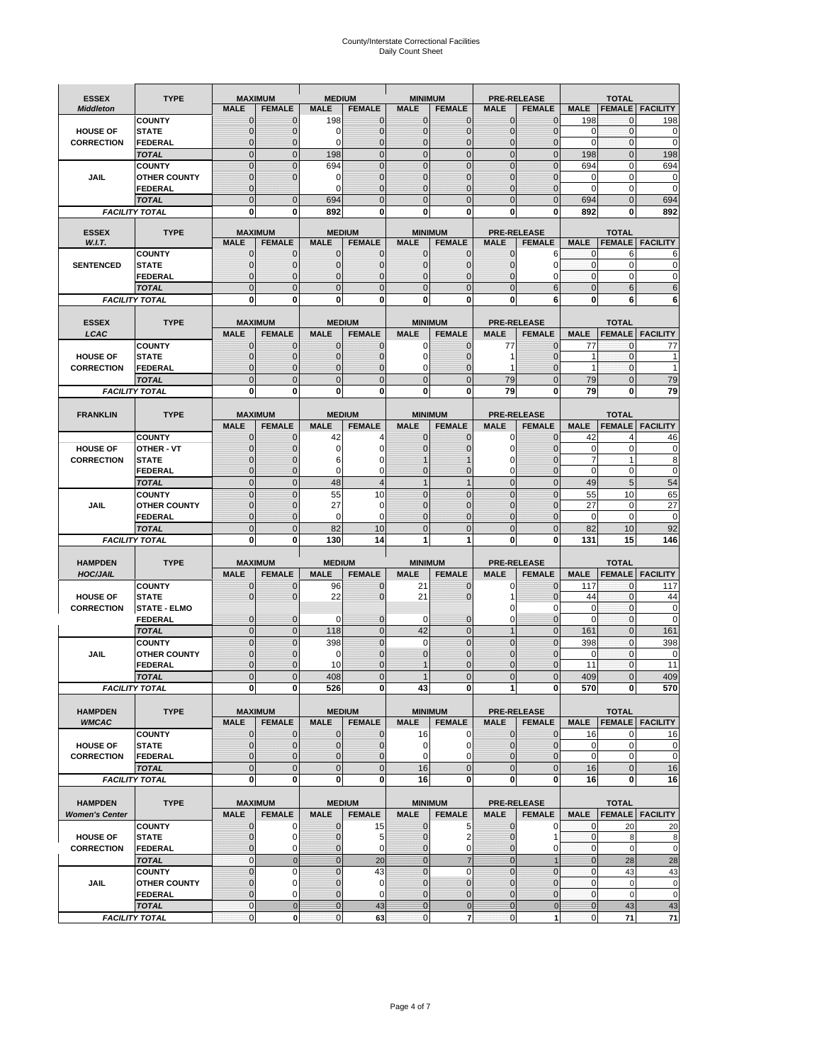# County/Interstate Correctional Facilities Daily Count Sheet

| <b>ESSEX</b>          | <b>TYPE</b>                           |                            | <b>MAXIMUM</b>                   | <b>MEDIUM</b>               |                                | <b>MINIMUM</b>               |                                 |                               | <b>PRE-RELEASE</b>                  |                   | <b>TOTAL</b>                  |                          |
|-----------------------|---------------------------------------|----------------------------|----------------------------------|-----------------------------|--------------------------------|------------------------------|---------------------------------|-------------------------------|-------------------------------------|-------------------|-------------------------------|--------------------------|
| <b>Middleton</b>      |                                       | <b>MALE</b>                | <b>FEMALE</b>                    | <b>MALE</b>                 | <b>FEMALE</b>                  | <b>MALE</b>                  | <b>FEMALE</b>                   | MALE                          | <b>FEMALE</b>                       | <b>MALE</b>       | <b>FEMALE</b>                 | <b>FACILITY</b>          |
|                       | <b>COUNTY</b>                         | 0                          | 0                                | 198                         | 0                              | $\mathbf 0$                  | $\mathbf{0}$                    | $\mathbf{0}$                  | $\Omega$                            | 198               | 0                             | 198                      |
| <b>HOUSE OF</b>       | <b>STATE</b>                          | 0                          | $\mathbf 0$                      | $\Omega$                    | 0                              | $\mathbf{0}$                 | $\Omega$                        | $\mathbf 0$                   | $\Omega$                            | $\Omega$          | $\Omega$                      | 0                        |
| <b>CORRECTION</b>     | <b>FEDERAL</b>                        | 0                          | $\mathbf 0$                      | 0                           | 0                              | $\mathbf{0}$                 | $\mathbf 0$                     | $\mathbf{0}$                  | $\mathbf 0$                         | $\mathbf 0$       | $\mathbf{0}$                  | $\mathbf 0$              |
|                       | <b>TOTAL</b>                          | $\overline{0}$             | $\overline{0}$                   | 198                         | $\mathbf 0$                    | $\mathbf 0$                  | $\overline{0}$                  | $\mathbf 0$                   | $\overline{0}$                      | 198               | $\mathbf{0}$                  | 198                      |
|                       | <b>COUNTY</b>                         | $\mathbf 0$<br>$\mathbf 0$ | $\overline{0}$<br>$\overline{0}$ | 694<br>0                    | $\overline{0}$<br>0            | $\mathbf{0}$<br>$\mathbf{0}$ | $\Omega$<br>$\mathbf{0}$        | $\mathbf 0$<br>$\mathbf 0$    | $\Omega$<br>ſ                       | 694<br>0          | $\mathbf 0$<br>$\mathbf 0$    | 694<br>$\mathbf 0$       |
| JAIL                  | <b>OTHER COUNTY</b><br><b>FEDERAL</b> | $\mathbf{0}$               |                                  | $\Omega$                    | $\Omega$                       | $\mathbf{0}$                 | $\Omega$                        | $\mathbf{0}$                  | 0                                   | $\Omega$          | $\mathbf 0$                   | 0                        |
|                       | <b>TOTAL</b>                          | $\overline{0}$             | $\mathbf 0$                      | 694                         | $\Omega$                       | $\Omega$                     | $\Omega$                        | $\overline{0}$                | $\Omega$                            | 694               | $\Omega$                      | 694                      |
|                       | <b>FACILITY TOTAL</b>                 | 0                          | 0                                | 892                         | O                              | $\bf{0}$                     | 0                               | 0                             | 0                                   | 892               | 0                             | 892                      |
|                       |                                       |                            |                                  |                             |                                |                              |                                 |                               |                                     |                   |                               |                          |
| <b>ESSEX</b>          | <b>TYPE</b>                           |                            | <b>MAXIMUM</b>                   |                             | <b>MEDIUM</b>                  |                              | <b>MINIMUM</b>                  |                               | <b>PRE-RELEASE</b>                  |                   | <b>TOTAL</b>                  |                          |
| W.I.T.                |                                       | <b>MALE</b>                | <b>FEMALE</b>                    | <b>MALE</b>                 | <b>FEMALE</b>                  | <b>MALE</b>                  | <b>FEMALE</b>                   | <b>MALE</b>                   | <b>FEMALE</b>                       | <b>MALE</b>       | <b>FEMALE</b>                 | <b>FACILITY</b>          |
| <b>SENTENCED</b>      | <b>COUNTY</b>                         | $\mathbf{0}$<br>0          | 0<br>$\mathbf 0$                 | $\mathbf 0$<br>$\mathbf{0}$ | 0<br>$\mathbf 0$               | $\mathbf 0$<br>$\mathbf{0}$  | $\mathbf{0}$                    | $\mathbf 0$                   | 6<br>$\Omega$                       | 0<br>$\mathbf{0}$ | 6<br>$\mathbf 0$              | 6<br>0                   |
|                       | <b>STATE</b><br><b>FEDERAL</b>        | $\overline{0}$             | $\mathbf 0$                      | $\mathbf{0}$                | 0                              | $\mathbf{0}$                 | $\mathbf{0}$<br>0               | 0<br>$\mathbf 0$              | 0                                   | $\mathbf{0}$      | 0                             | 0                        |
|                       | <b>TOTAL</b>                          | $\overline{0}$             | $\overline{0}$                   | $\mathbf 0$                 | $\overline{0}$                 | $\mathbf{0}$                 | $\overline{0}$                  | $\overline{0}$                | 6                                   | $\mathbf{0}$      | 6                             | 6                        |
|                       | <b>FACILITY TOTAL</b>                 | 0                          | 0                                | $\bf{0}$                    | O                              | $\bf{0}$                     | $\mathbf{0}$                    | 0                             | 6                                   | $\bf{0}$          | 6                             | 6                        |
|                       |                                       |                            |                                  |                             |                                |                              |                                 |                               |                                     |                   |                               |                          |
| <b>ESSEX</b>          | <b>TYPE</b>                           |                            | <b>MAXIMUM</b>                   |                             | <b>MEDIUM</b>                  |                              | <b>MINIMUM</b>                  |                               | <b>PRE-RELEASE</b>                  |                   | <b>TOTAL</b>                  |                          |
| LCAC                  |                                       | <b>MALE</b>                | <b>FEMALE</b>                    | <b>MALE</b>                 | <b>FEMALE</b>                  | <b>MALE</b>                  | <b>FEMALE</b>                   | <b>MALE</b>                   | <b>FEMALE</b>                       | <b>MALE</b>       |                               | <b>FEMALE</b>   FACILITY |
|                       | <b>COUNTY</b>                         | 0                          | 0                                | $\mathbf{0}$                | 0                              | 0                            | $\mathbf{0}$                    | 77                            | $\Omega$                            | 77                | $\Omega$                      | 77                       |
| <b>HOUSE OF</b>       | <b>STATE</b>                          | 0                          | $\overline{0}$                   | $\mathbf 0$                 | 0                              | $\mathbf 0$                  | $\Omega$                        | 1                             | $\Omega$                            | 1                 | $\mathbf 0$                   |                          |
| <b>CORRECTION</b>     | FEDERAL                               | 0                          | 0                                | $\mathbf{0}$                | 0                              | 0                            | $\Omega$                        | 1                             | $\mathbf 0$                         | $\mathbf{1}$      | $\mathbf 0$                   | 1                        |
|                       | <b>TOTAL</b>                          | $\Omega$                   | $\overline{0}$                   | $\mathbf 0$                 | $\overline{0}$                 | $\mathbf{0}$                 | $\Omega$                        | 79                            | $\Omega$                            | 79                | $\Omega$                      | 79                       |
|                       | <b>FACILITY TOTAL</b>                 | 0                          | 0                                | 0                           | 0                              | $\bf{0}$                     | 0                               | 79                            | $\bf{0}$                            | 79                | 0                             | 79                       |
|                       |                                       |                            |                                  |                             |                                |                              |                                 |                               |                                     |                   |                               |                          |
| <b>FRANKLIN</b>       | <b>TYPE</b>                           | <b>MALE</b>                | <b>MAXIMUM</b><br><b>FEMALE</b>  | <b>MALE</b>                 | <b>MEDIUM</b><br><b>FEMALE</b> | <b>MALE</b>                  | <b>MINIMUM</b><br><b>FEMALE</b> | <b>MALE</b>                   | <b>PRE-RELEASE</b><br><b>FEMALE</b> | <b>MALE</b>       | <b>TOTAL</b><br><b>FEMALE</b> | <b>FACILITY</b>          |
|                       | <b>COUNTY</b>                         | $\mathbf{0}$               | 0                                | 42                          | 4                              | $\mathbf{0}$                 | 0                               | 0                             | $\Omega$                            | 42                | $\overline{4}$                | 46                       |
| <b>HOUSE OF</b>       | <b>OTHER - VT</b>                     | 0                          | $\overline{0}$                   | 0                           | 0                              | $\mathbf 0$                  |                                 | $\mathbf 0$                   | $\Omega$                            | $\mathbf 0$       | $\mathbf 0$                   | 0                        |
| <b>CORRECTION</b>     | <b>STATE</b>                          | $\Omega$                   | $\mathbf 0$                      | 6                           | 0                              |                              |                                 | 0                             | ſ                                   | $\overline{7}$    | $\mathbf{1}$                  | 8                        |
|                       | FEDERAL                               | $\mathbf{0}$               | $\overline{0}$                   | $\mathbf 0$                 | 0                              | $\mathbf{0}$                 | $\mathbf{0}$                    | 0                             | $\overline{0}$                      | $\mathbf 0$       | $\mathbf 0$                   | $\pmb{0}$                |
|                       | <b>TOTAL</b>                          | $\overline{0}$             | $\mathbf{0}$                     | 48                          | $\overline{4}$                 | $\overline{1}$               | $\mathbf{1}$                    | $\mathbf 0$                   | $\overline{0}$                      | 49                | 5                             | 54                       |
|                       | <b>COUNTY</b>                         | $\Omega$                   | $\overline{0}$                   | 55                          | 10                             | $\Omega$                     | $\Omega$                        | $\mathbf 0$                   | $\Omega$                            | 55                | 10                            | 65                       |
| JAIL                  | <b>OTHER COUNTY</b>                   | 0                          | $\mathbf 0$                      | 27                          | 0                              | $\mathbf 0$                  | $\Omega$                        | $\mathbf 0$                   | $\sqrt{ }$                          | 27                | $\mathbf 0$                   | 27                       |
|                       | <b>FEDERAL</b>                        | 0                          | 0                                | 0                           | 0                              | $\mathbf{0}$                 | $\Omega$                        | $\mathbf{0}$                  | $\Omega$                            | $\mathbf 0$       | $\mathbf 0$                   | $\mathbf 0$              |
|                       | <b>TOTAL</b>                          | $\mathbf{0}$               | $\overline{0}$                   | 82                          | 10                             | $\mathbf{0}$                 | $\Omega$                        | $\overline{0}$                | $\Omega$                            | 82                | 10                            | 92                       |
|                       | <b>FACILITY TOTAL</b>                 | 0                          | 0                                | 130                         | 14                             | 1                            | 1                               | 0                             | 0                                   | 131               | 15                            | 146                      |
| <b>HAMPDEN</b>        | <b>TYPE</b>                           |                            | <b>MAXIMUM</b>                   | <b>MEDIUM</b>               |                                | <b>MINIMUM</b>               |                                 |                               | <b>PRE-RELEASE</b>                  |                   | <b>TOTAL</b>                  |                          |
| <b>HOC/JAIL</b>       |                                       | <b>MALE</b>                | <b>FEMALE</b>                    | <b>MALE</b>                 | <b>FEMALE</b>                  | <b>MALE</b>                  | <b>FEMALE</b>                   | <b>MALE</b>                   | <b>FEMALE</b>                       | <b>MALE</b>       | <b>FEMALE</b>                 | <b>FACILITY</b>          |
|                       | <b>COUNTY</b>                         | 0                          | 0                                | 96                          | 0                              | 21                           | 0                               | 0                             | $\mathbf 0$                         | 117               | $\mathbf{0}$                  | 117                      |
| <b>HOUSE OF</b>       | <b>STATE</b>                          | 0                          | $\overline{0}$                   | 22                          | 0                              | 21                           | $\Omega$                        | 1                             | $\Omega$                            | 44                | $\Omega$                      | 44                       |
| <b>CORRECTION</b>     | <b>STATE - ELMO</b>                   |                            |                                  |                             |                                |                              |                                 | 0                             | 0                                   | 0                 | $\mathbf{0}$                  | $\mathbf 0$              |
|                       | <b>FEDERAL</b>                        | $\mathbf{0}$               | $\mathbf 0$                      | $\Omega$                    | 0                              | 0                            | $\mathbf{0}$                    | $\mathbf 0$                   | 0                                   | $\Omega$          | $\Omega$                      | 0                        |
|                       | <b>TOTAL</b>                          | $\overline{0}$             | $\overline{0}$                   | 118                         | $\overline{0}$                 | 42                           | $\mathbf{0}$                    | $\overline{1}$                | $\Omega$                            | 161               | $\Omega$                      | 161                      |
|                       | <b>COUNTY</b>                         | $\overline{0}$             | $\overline{0}$                   | 398                         | 0                              | $\mathbf 0$                  | $\overline{0}$                  | $\overline{0}$                | $\overline{0}$                      | 398               | $\mathbf{0}$                  | 398                      |
| <b>JAIL</b>           | <b>OTHER COUNTY</b>                   | 0<br>$\Omega$              | $\mathbf 0$<br>$\mathbf 0$       | 0<br>10                     | 0<br>$\Omega$                  | $\mathbf{0}$                 | $\Omega$<br>$\Omega$            | $\mathbf 0$                   | $\sqrt{ }$<br>$\Omega$              | $\mathbf 0$       | $\mathbf 0$<br>$\Omega$       | 0<br>11                  |
|                       | <b>FEDERAL</b><br><b>TOTAL</b>        | $\overline{0}$             | $\overline{0}$                   | 408                         | $\Omega$                       |                              | $\overline{0}$                  | $\mathbf 0$<br>$\overline{0}$ | $\Omega$                            | 11<br>409         | O                             | 409                      |
|                       | <b>FACILITY TOTAL</b>                 |                            | $\boldsymbol{0}$                 | 526                         | 0                              |                              | 0                               | 1                             | 0                                   | 570               |                               | 570                      |
|                       |                                       | $\mathbf{0}$               |                                  |                             |                                | 43                           |                                 |                               |                                     |                   | $\mathbf{0}$                  |                          |
| <b>HAMPDEN</b>        | <b>TYPE</b>                           |                            | <b>MAXIMUM</b>                   |                             | <b>MEDIUM</b>                  |                              | <b>MINIMUM</b>                  |                               | <b>PRE-RELEASE</b>                  |                   | <b>TOTAL</b>                  |                          |
| <b>WMCAC</b>          |                                       | <b>MALE</b>                | <b>FEMALE</b>                    | <b>MALE</b>                 | <b>FEMALE</b>                  | <b>MALE</b>                  | <b>FEMALE</b>                   | <b>MALE</b>                   | <b>FEMALE</b>                       | <b>MALE</b>       |                               | <b>FEMALE</b> FACILITY   |
|                       | <b>COUNTY</b>                         | $\mathbf 0$                | $\mathbf{0}$                     | $\mathbf 0$                 | 0                              | 16                           | 0                               | $\mathbf 0$                   | $\mathbf 0$                         | 16                | 0                             | 16                       |
| <b>HOUSE OF</b>       | <b>STATE</b>                          | $\mathbf{0}$               | $\mathbf{0}$                     | $\overline{0}$              | 0                              | $\mathbf 0$                  | 0                               | $\mathbf{0}$                  | 0                                   | $\mathbf 0$       | $\mathbf 0$                   | 0                        |
| <b>CORRECTION</b>     | <b>FEDERAL</b>                        | $\mathbf{0}$               | 0                                | $\overline{0}$              | 0                              | $\mathbf 0$                  | $\Omega$                        | $\mathbf{0}$                  | 0                                   | $\mathbf 0$       | $\mathbf 0$                   | $\pmb{0}$                |
|                       | <b>TOTAL</b>                          | $\mathbf 0$                | $\overline{0}$                   | $\overline{0}$              | $\overline{0}$                 | 16                           | $\mathbf{0}$                    | $\mathbf 0$                   | $\mathbf 0$                         | 16                | $\mathbf 0$                   | 16                       |
|                       | <b>FACILITY TOTAL</b>                 | $\bf{0}$                   | 0                                | $\mathbf{0}$                | 0                              | 16                           | 0                               | 0                             | $\bf{0}$                            | 16                | 0                             | 16                       |
|                       |                                       |                            |                                  |                             |                                |                              |                                 |                               |                                     |                   |                               |                          |
| <b>HAMPDEN</b>        | <b>TYPE</b>                           | <b>MALE</b>                | <b>MAXIMUM</b><br><b>FEMALE</b>  | <b>MALE</b>                 | <b>MEDIUM</b><br><b>FEMALE</b> | <b>MALE</b>                  | <b>MINIMUM</b>                  | <b>MALE</b>                   | <b>PRE-RELEASE</b><br><b>FEMALE</b> | <b>MALE</b>       | <b>TOTAL</b>                  | <b>FEMALE</b> FACILITY   |
| <b>Women's Center</b> | <b>COUNTY</b>                         | 0                          | 0                                | $\mathbf 0$                 | 15                             | $\mathbf 0$                  | <b>FEMALE</b><br>5              | 0                             | 0                                   | 0                 | 20                            | 20                       |
| <b>HOUSE OF</b>       | <b>STATE</b>                          | $\mathbf{0}$               | $\mathbf 0$                      | $\mathbf{0}$                | 5                              | $\mathbf{0}$                 | 2                               | $\mathbf 0$                   | 1                                   | $\mathbf 0$       | 8                             | 8                        |
| <b>CORRECTION</b>     | <b>FEDERAL</b>                        | 0                          | 0                                | 0                           | 0                              | $\mathbf 0$                  | 0                               | $\mathbf{0}$                  | 0                                   | $\overline{0}$    | $\mathbf 0$                   | $\mathbf 0$              |
|                       | <b>TOTAL</b>                          | 0                          | $\mathbf 0$                      | $\overline{0}$              | 20                             | $\mathbf{0}$                 | $\overline{7}$                  | $\mathbf{0}$                  |                                     | $\mathbf{0}$      | 28                            | 28                       |
|                       | <b>COUNTY</b>                         | $\overline{0}$             | $\mathbf 0$                      | $\mathbf{0}$                | 43                             | $\mathbf{0}$                 | 0                               | $\overline{0}$                | $\overline{0}$                      | $\mathbf{0}$      | 43                            | 43                       |
| <b>JAIL</b>           | <b>OTHER COUNTY</b>                   | 0                          | $\mathbf 0$                      | $\mathbf 0$                 | 0                              | $\mathbf 0$                  | $\mathbf{0}$                    | $\mathbf{0}$                  | $\Omega$                            | $\mathbf 0$       | $\mathbf 0$                   | 0                        |
|                       | <b>FEDERAL</b>                        | $\mathbf 0$                | $\mathbf 0$                      | $\mathbf{0}$                | 0                              | $\mathbf 0$                  | $\mathbf{0}$                    | $\mathbf 0$                   | $\overline{0}$                      | $\mathbf 0$       | $\mathbf 0$                   | $\mathbf 0$              |
|                       | <b>TOTAL</b>                          | $\mathbf 0$                | $\mathbf 0$                      | $\overline{0}$              | 43                             | $\overline{0}$               | $\mathbf 0$                     | $\mathbf{0}$                  | $\mathbf 0$                         | $\mathbf{0}$      | 43                            | 43                       |
|                       | <b>FACILITY TOTAL</b>                 | $\pmb{0}$                  | $\mathbf 0$                      | $\mathbf{O}$                | 63                             | $\mathbf{0}$                 | $\overline{7}$                  | $\mathbf 0$                   | 1                                   | $\overline{0}$    | 71                            | $\bf 71$                 |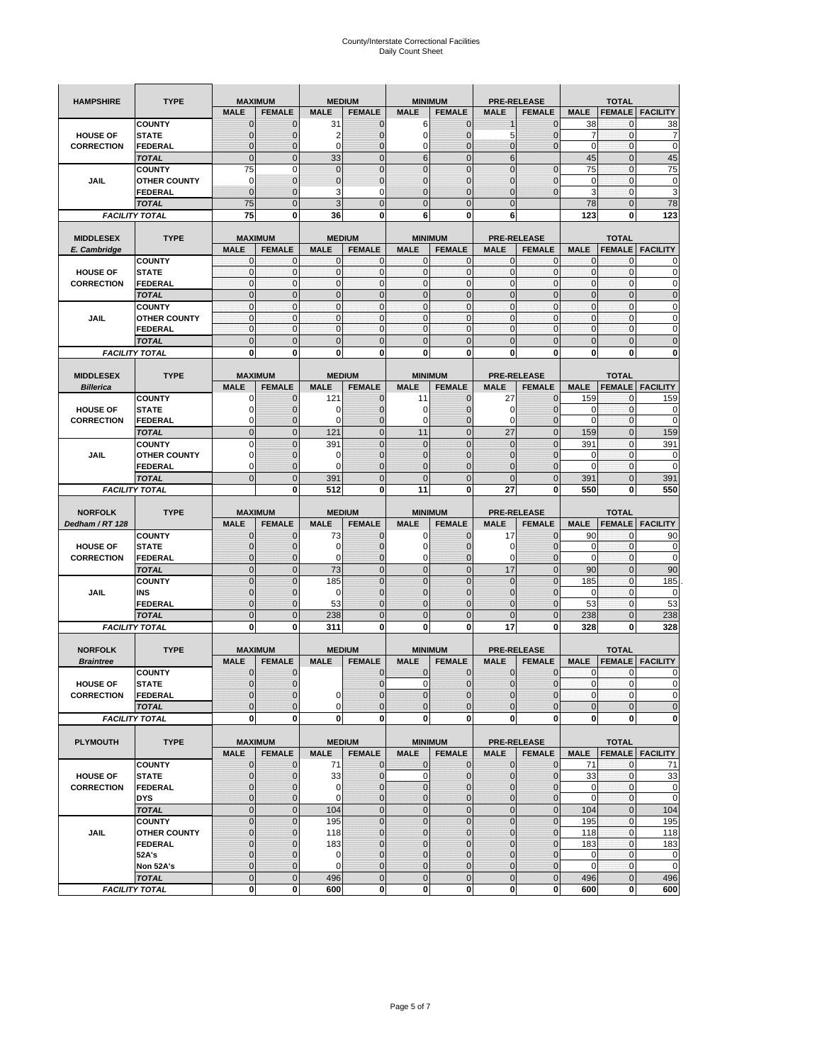| <b>HAMPSHIRE</b>                 | <b>TYPE</b>                           | <b>MAXIMUM</b>                |                     | <b>MEDIUM</b>      |                                | <b>MINIMUM</b>                |                              | <b>PRE-RELEASE</b>  |                                     | <b>TOTAL</b>        |                                |                        |  |
|----------------------------------|---------------------------------------|-------------------------------|---------------------|--------------------|--------------------------------|-------------------------------|------------------------------|---------------------|-------------------------------------|---------------------|--------------------------------|------------------------|--|
|                                  |                                       | <b>MALE</b>                   | <b>FEMALE</b>       | <b>MALE</b>        | <b>FEMALE</b>                  | <b>MALE</b>                   | <b>FEMALE</b>                | <b>MALE</b>         | <b>FEMALE</b>                       | <b>MALE</b>         | <b>FEMALE</b>                  | <b>FACILITY</b>        |  |
|                                  | <b>COUNTY</b>                         | $\mathbf 0$                   | $\overline{0}$      | 31                 | $\mathbf 0$                    | 6                             | $\mathbf{0}$                 |                     | $\overline{0}$                      | 38                  | 0                              | 38                     |  |
| <b>HOUSE OF</b>                  | <b>STATE</b>                          | $\Omega$                      | 0                   | 2                  | $\mathbf{0}$                   | 0                             | $\mathbf 0$                  | 5                   | 0                                   | 7                   | $\mathbf 0$                    | 7                      |  |
| <b>CORRECTION</b>                | <b>FEDERAL</b>                        | $\mathbf{0}$                  | 0                   | $\mathbf 0$        | $\mathbf{0}$                   | 0                             | $\mathbf{0}$                 | $\mathbf{0}$        | $\overline{0}$                      | $\mathbf 0$         | $\mathbf 0$                    | $\mathbf 0$            |  |
|                                  | <b>TOTAL</b>                          | $\overline{0}$                | $\mathbf 0$         | 33                 | $\overline{0}$                 | 6                             | $\mathbf 0$                  | $6\phantom{1}$      |                                     | 45                  | $\mathbf 0$                    | 45                     |  |
|                                  | <b>COUNTY</b>                         | 75                            | $\mathbf 0$         | $\mathbf 0$        | $\mathbf{0}$                   | $\overline{0}$                | $\overline{0}$               | $\overline{0}$      | $\mathbf 0$                         | 75                  | $\mathbf 0$                    | 75                     |  |
| JAIL                             | <b>OTHER COUNTY</b>                   | 0                             | $\overline{0}$      | $\overline{0}$     | $\mathbf{0}$                   | $\overline{0}$                | $\mathbf{0}$                 | 0                   | $\overline{0}$                      | $\mathbf 0$         | $\mathbf{0}$                   | $\pmb{0}$              |  |
|                                  | <b>FEDERAL</b>                        | $\mathbf 0$                   | $\overline{0}$      | 3                  | 0                              | $\overline{0}$                | $\overline{0}$               | $\mathbf{0}$        | $\overline{0}$                      | 3                   | $\mathbf 0$                    | 3                      |  |
|                                  | <b>TOTAL</b>                          | 75                            | $\overline{0}$      | 3                  | $\mathbf{0}$                   | 0                             | $\overline{0}$               | $\mathbf{0}$        |                                     | 78                  | $\mathbf 0$                    | 78                     |  |
|                                  | <b>FACILITY TOTAL</b>                 | 75                            | 0                   | 36                 | $\bf{0}$                       | 6                             | 0                            | 6                   |                                     | 123                 | 0                              | 123                    |  |
|                                  |                                       |                               |                     |                    |                                |                               |                              |                     |                                     |                     |                                |                        |  |
| <b>MIDDLESEX</b><br>E. Cambridge | <b>TYPE</b>                           | <b>MAXIMUM</b><br><b>MALE</b> | <b>FEMALE</b>       | <b>MALE</b>        | <b>MEDIUM</b><br><b>FEMALE</b> | <b>MINIMUM</b><br><b>MALE</b> | <b>FEMALE</b>                | <b>MALE</b>         | <b>PRE-RELEASE</b><br><b>FEMALE</b> | <b>MALE</b>         | <b>TOTAL</b><br><b>FEMALE</b>  | <b>FACILITY</b>        |  |
|                                  | <b>COUNTY</b>                         | 0                             | $\mathbf 0$         | $\mathbf 0$        | 0                              | 0                             | $\mathbf{0}$                 | $\mathbf 0$         | 0                                   | 0                   | $\mathbf{0}$                   | 0                      |  |
| <b>HOUSE OF</b>                  | <b>STATE</b>                          | $\pmb{0}$                     | $\mathbf{0}$        | $\mathbf 0$        | $\mathbf 0$                    | 0                             | $\mathbf{0}$                 | $\mathbf 0$         | 0                                   | $\mathbf 0$         | $\mathbf 0$                    | $\mathbf 0$            |  |
| <b>CORRECTION</b>                | <b>FEDERAL</b>                        | $\mathbf{0}$                  | $\mathbf{0}$        | $\mathbf 0$        | $\mathbf{O}$                   | 0                             | $\mathbf{0}$                 | $\mathbf{0}$        | $\mathbf 0$                         | $\mathbf 0$         | $\mathbf 0$                    | $\pmb{0}$              |  |
|                                  | <b>TOTAL</b>                          | $\mathbf{0}$                  | $\overline{0}$      | $\overline{0}$     | $\mathbf{0}$                   | $\overline{0}$                | $\mathbf{0}$                 | $\mathbf{0}$        | $\overline{0}$                      | $\overline{0}$      | $\overline{0}$                 | $\pmb{0}$              |  |
|                                  | <b>COUNTY</b>                         | $\mathbf{0}$                  | $\mathbf{0}$        | $\mathbf 0$        | $\mathbf{O}$                   | $\mathbf{0}$                  | $\mathbf{0}$                 | $\mathbf{O}$        | $\overline{0}$                      | $\mathbf 0$         | $\mathbf{0}$                   | $\mathbf 0$            |  |
| JAIL                             | <b>OTHER COUNTY</b>                   | $\Omega$                      | $\overline{0}$      | $\mathbf 0$        | $\Omega$                       | $\mathbf{0}$                  | $\mathbf{0}$                 | $\Omega$            | $\overline{0}$                      | $\mathbf 0$         | $\mathbf{0}$                   | $\mathbf 0$            |  |
|                                  | <b>FEDERAL</b>                        | $\mathbf{0}$                  | $\mathbf 0$         | $\mathbf 0$        | $\mathbf{O}$                   | 0                             | $\mathbf{0}$                 | $\mathbf{O}$        | 0                                   | $\mathbf 0$         | $\mathbf 0$                    | $\mathbf 0$            |  |
|                                  | <b>TOTAL</b>                          | $\mathbf{0}$                  | $\overline{0}$      | $\overline{0}$     | $\mathbf{0}$                   | $\mathbf 0$                   | $\mathbf 0$                  | $\mathbf{0}$        | $\overline{0}$                      | $\mathbf 0$         | $\overline{0}$                 | $\mathbf 0$            |  |
|                                  | <b>FACILITY TOTAL</b>                 | 0                             | 0                   | 0                  | 0                              | 0                             | 0                            | 0                   | 0                                   | 0                   | 0                              | $\bf{0}$               |  |
|                                  |                                       |                               |                     |                    |                                |                               |                              |                     |                                     |                     |                                |                        |  |
| <b>MIDDLESEX</b>                 | <b>TYPE</b>                           | <b>MAXIMUM</b>                |                     |                    | <b>MEDIUM</b>                  | <b>MINIMUM</b>                |                              |                     | <b>PRE-RELEASE</b>                  |                     | <b>TOTAL</b>                   |                        |  |
| <b>Billerica</b>                 |                                       | <b>MALE</b>                   | <b>FEMALE</b>       | <b>MALE</b>        | <b>FEMALE</b>                  | <b>MALE</b>                   | <b>FEMALE</b>                | <b>MALE</b>         | <b>FEMALE</b>                       | <b>MALE</b>         | <b>FEMALE</b>                  | <b>FACILITY</b>        |  |
|                                  | <b>COUNTY</b>                         | 0                             | $\overline{0}$      | 121                | $\mathbf 0$                    | 11                            | $\mathbf{0}$                 | 27                  | $\overline{0}$                      | 159                 | $\mathbf{0}$                   | 159                    |  |
| <b>HOUSE OF</b>                  | <b>STATE</b>                          |                               | $\overline{0}$      | 0                  | $\mathbf 0$                    | 0                             | $\overline{0}$               | 0                   | $\overline{0}$                      | 0<br>$\overline{0}$ | $\mathbf{0}$                   | 0<br>$\mathbf 0$       |  |
| <b>CORRECTION</b>                | FEDERAL                               | $\Omega$<br>$\mathbf{0}$      | 0<br>$\overline{0}$ | 0                  | $\mathbf{0}$<br>$\mathbf{0}$   | 0<br>11                       | $\mathbf{0}$<br>$\mathbf 0$  | $\mathbf 0$<br>27   | 0<br>$\overline{0}$                 |                     | $\mathbf 0$                    |                        |  |
|                                  | <b>TOTAL</b><br><b>COUNTY</b>         | $\Omega$                      | $\overline{0}$      | 121<br>391         | $\mathbf 0$                    | $\overline{0}$                | $\Omega$                     | $\mathbf{0}$        | $\overline{0}$                      | 159<br>391          | $\overline{0}$<br>$\mathbf{0}$ | 159<br>391             |  |
| JAIL                             | <b>OTHER COUNTY</b>                   | $\Omega$                      | 0                   | 0                  | $\overline{0}$                 | 0                             | $\mathbf{0}$                 | $\overline{0}$      | 0                                   | 0                   | $\mathbf{0}$                   | 0                      |  |
|                                  | <b>FEDERAL</b>                        | 0                             | $\overline{0}$      | $\mathbf 0$        | $\mathbf 0$                    | $\overline{0}$                | $\overline{0}$               | 0                   | $\overline{0}$                      | $\overline{0}$      | $\mathbf{0}$                   | $\mathbf 0$            |  |
|                                  | <b>TOTAL</b>                          | $\Omega$                      | $\mathbf 0$         | 391                | $\mathbf{0}$                   | $\mathbf 0$                   | $\mathbf 0$                  | $\mathbf{0}$        | $\overline{0}$                      | 391                 | $\mathbf 0$                    | 391                    |  |
|                                  | <b>FACILITY TOTAL</b>                 |                               | $\mathbf 0$         | 512                | $\bf{0}$                       | 11                            | 0                            | 27                  | 0                                   | 550                 | $\bf{0}$                       | 550                    |  |
|                                  |                                       |                               |                     |                    |                                |                               |                              |                     |                                     |                     |                                |                        |  |
|                                  |                                       |                               |                     |                    |                                |                               |                              |                     |                                     |                     |                                |                        |  |
| <b>NORFOLK</b>                   | <b>TYPE</b>                           | <b>MAXIMUM</b>                |                     |                    | <b>MEDIUM</b>                  | <b>MINIMUM</b>                |                              |                     | <b>PRE-RELEASE</b>                  |                     | <b>TOTAL</b>                   |                        |  |
| Dedham / RT 128                  |                                       | <b>MALE</b>                   | <b>FEMALE</b>       | <b>MALE</b>        | <b>FEMALE</b>                  | <b>MALE</b>                   | <b>FEMALE</b>                | <b>MALE</b>         | <b>FEMALE</b>                       | <b>MALE</b>         | <b>FEMALE</b>                  | <b>FACILITY</b>        |  |
|                                  | <b>COUNTY</b>                         | $\Omega$                      | $\overline{0}$      | 73                 | 0                              | 0                             | $\mathbf 0$                  | 17                  | $\overline{0}$                      | 90                  | 0                              | 90                     |  |
| <b>HOUSE OF</b>                  | <b>STATE</b>                          | $\Omega$                      | $\overline{0}$      | $\mathbf 0$        | $\mathbf{0}$                   | 0                             | $\overline{0}$               | 0                   | $\overline{0}$                      | 0                   | 0                              | $\mathbf 0$            |  |
| <b>CORRECTION</b>                | <b>FEDERAL</b>                        | $\Omega$                      | 0                   | 0                  | $\mathbf{0}$                   | 0                             | $\mathbf 0$                  | 0                   | 0                                   | $\mathbf 0$         | $\mathbf 0$                    | $\mathbf 0$            |  |
|                                  | <b>TOTAL</b>                          | $\Omega$                      | $\overline{0}$      | 73                 | $\mathbf{0}$                   | $\mathbf 0$                   | $\mathbf 0$                  | 17                  | $\overline{0}$                      | 90                  | $\mathbf 0$                    | 90                     |  |
|                                  | <b>COUNTY</b>                         | $\Omega$                      | $\overline{0}$      | 185                | $\mathbf 0$                    | $\overline{0}$                | $\overline{0}$               | $\mathbf{0}$        | $\overline{0}$                      | 185                 | $\mathbf 0$                    | 185                    |  |
| JAIL                             | INS                                   | $\mathbf{0}$                  | 0                   | 0                  | $\overline{0}$                 | 0                             | $\mathbf{0}$                 | $\overline{0}$      | 0                                   | 0                   | 0                              | 0                      |  |
|                                  | <b>FEDERAL</b>                        | $\Omega$                      | $\overline{0}$      | 53                 | $\mathbf 0$                    | $\overline{0}$                | $\overline{0}$               | 0                   | $\overline{0}$                      | 53                  | $\mathbf{0}$                   | 53                     |  |
|                                  | <b>TOTAL</b>                          | $\mathbf{0}$                  | $\overline{0}$      | 238                | $\mathbf{0}$                   | $\overline{0}$                | $\overline{0}$               | $\Omega$            | $\overline{0}$                      | 238                 | $\overline{0}$                 | 238                    |  |
|                                  | <b>FACILITY TOTAL</b>                 | $\mathbf 0$                   | $\mathbf 0$         | 311                | 0                              | 0                             | 0                            | 17                  | 0                                   | 328                 | $\bf{0}$                       | 328                    |  |
| <b>NORFOLK</b>                   |                                       | <b>MAXIMUM</b>                |                     |                    |                                | <b>MINIMUM</b>                |                              |                     | <b>PRE-RELEASE</b>                  |                     |                                |                        |  |
| <b>Braintree</b>                 | <b>TYPE</b>                           | <b>MALE</b>                   | <b>FEMALE</b>       | <b>MALE</b>        | <b>MEDIUM</b><br><b>FEMALE</b> | <b>MALE</b>                   | <b>FEMALE</b>                | <b>MALE</b>         | <b>FEMALE</b>                       | <b>MALE</b>         | <b>TOTAL</b><br><b>FEMALE</b>  | <b>FACILITY</b>        |  |
|                                  | <b>COUNTY</b>                         | $\mathbf{0}$                  | 0                   |                    | $\mathbf{0}$                   | 0                             | $\mathbf 0$                  | 0                   | 0                                   | 0                   | 0                              | 0                      |  |
| <b>HOUSE OF</b>                  | <b>STATE</b>                          | $\Omega$                      | $\overline{0}$      |                    | $\overline{0}$                 | $\Omega$                      | $\Omega$                     | $\overline{0}$      | $\overline{0}$                      | $\mathbf{0}$        | 0                              | $\Omega$               |  |
| <b>CORRECTION</b>                | FEDERAL                               | $\mathbf 0$                   | 0                   | 0                  | $\mathbf 0$                    | $\pmb{0}$                     | $\mathbf{0}$                 | $\mathbf 0$         | 0                                   | $\pmb{0}$           | 0                              | $\mathbf 0$            |  |
|                                  | <b>TOTAL</b>                          | $\overline{0}$                | 0                   | 0                  | $\mathbf{0}$                   | 0                             | $\mathbf 0$                  | $\overline{0}$      | 0                                   | $\mathbf 0$         | $\mathbf 0$                    | $\mathbf 0$            |  |
|                                  | <b>FACILITY TOTAL</b>                 | $\bf{0}$                      | $\bf{0}$            | 0                  | 0                              | $\mathbf{0}$                  | $\mathbf{0}$                 | 0                   | 0                                   | $\mathbf 0$         | 0                              | $\mathbf 0$            |  |
|                                  |                                       |                               |                     |                    |                                |                               |                              |                     |                                     |                     |                                |                        |  |
| <b>PLYMOUTH</b>                  | <b>TYPE</b>                           |                               | <b>MAXIMUM</b>      |                    | <b>MEDIUM</b>                  |                               | <b>MINIMUM</b>               |                     | PRE-RELEASE                         |                     | <b>TOTAL</b>                   |                        |  |
|                                  |                                       | <b>MALE</b>                   | <b>FEMALE</b>       | <b>MALE</b>        | <b>FEMALE</b>                  | <b>MALE</b>                   | <b>FEMALE</b>                | <b>MALE</b>         | <b>FEMALE</b>                       | <b>MALE</b>         |                                | <b>FEMALE FACILITY</b> |  |
|                                  | <b>COUNTY</b>                         | $\mathbf{0}$                  | $\mathbf{0}$        | 71                 | $\mathbf{0}$                   | 0                             | $\mathbf 0$                  | $\mathbf 0$         | $\overline{0}$                      | 71                  | $\mathbf 0$                    | 71                     |  |
| <b>HOUSE OF</b>                  | <b>STATE</b>                          | $\mathbf{0}$                  | 0                   | 33                 | $\mathbf{0}$                   | 0                             | $\pmb{0}$                    | $\mathbf 0$         | $\overline{0}$                      | 33                  | $\mathbf{0}$                   | 33                     |  |
| <b>CORRECTION</b>                | <b>FEDERAL</b>                        | $\Omega$                      | 0                   | 0                  | $\mathbf{0}$                   | 0                             | $\mathbf{0}$                 | $\mathbf{0}$        | 0                                   | 0                   | $\mathbf{0}$                   | $\mathbf 0$            |  |
|                                  | <b>DYS</b>                            | $\mathbf{0}$                  | 0                   | $\mathbf 0$        | $\mathbf 0$                    | 0                             | $\mathbf{0}$                 | $\mathbf 0$         | $\overline{0}$                      | $\mathbf 0$         | $\mathbf{0}$                   | $\mathbf 0$            |  |
|                                  | <b>TOTAL</b>                          | $\mathbf 0$                   | $\mathbf 0$         | 104                | $\mathbf 0$                    | $\mathbf 0$                   | $\mathbf 0$                  | $\mathbf 0$         | $\mathbf 0$                         | 104                 | $\mathbf 0$                    | 104                    |  |
|                                  | <b>COUNTY</b>                         | $\overline{0}$                | $\mathbf 0$         | 195                | $\mathbf{0}$                   | $\mathbf 0$                   | $\mathbf 0$                  | $\pmb{0}$           | $\mathbf 0$                         | 195                 | $\mathbf{0}$                   | 195                    |  |
| <b>JAIL</b>                      | <b>OTHER COUNTY</b><br><b>FEDERAL</b> | $\mathbf{0}$<br>$\Omega$      | 0<br>0              | 118                | $\overline{0}$<br>$\mathbf 0$  | 0<br>0                        | $\mathbf{0}$<br>$\mathbf{0}$ | $\overline{0}$<br>0 | $\overline{0}$<br>0                 | 118<br>183          | $\mathbf{0}$<br>$\mathbf 0$    | 118                    |  |
|                                  | 52A's                                 | $\Omega$                      | $\overline{0}$      | 183<br>$\mathbf 0$ | $\mathbf{0}$                   | $\overline{0}$                | $\mathbf 0$                  | $\overline{0}$      | $\overline{0}$                      | $\mathbf 0$         | $\mathbf 0$                    | 183<br>$\mathbf 0$     |  |
|                                  | Non 52A's                             | $\mathbf{0}$                  | 0                   | 0                  | $\mathbf{0}$                   | $\overline{0}$                | $\mathbf 0$                  | $\mathbf 0$         | 0                                   | 0                   | 0                              | $\mathbf 0$            |  |
|                                  | <b>TOTAL</b>                          | $\overline{0}$                | $\overline{0}$      | 496                | $\overline{0}$                 | $\overline{0}$                | $\mathbf{0}$                 | $\mathbf{0}$        | $\overline{0}$                      | 496                 | $\overline{0}$                 | 496                    |  |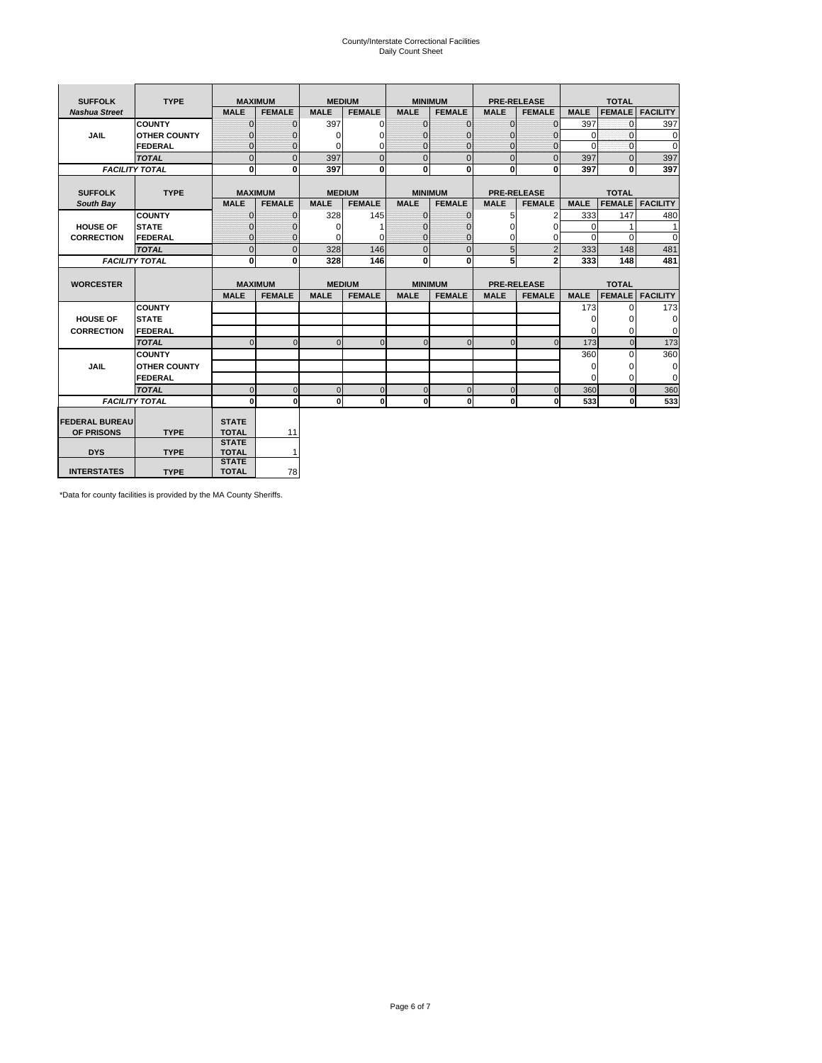# County/Interstate Correctional Facilities Daily Count Sheet

| <b>SUFFOLK</b>        | <b>TYPE</b>           |                              | <b>MAXIMUM</b> |               | <b>MEDIUM</b>  |                | <b>MINIMUM</b> |                | <b>PRE-RELEASE</b> |             | <b>TOTAL</b>  |                 |
|-----------------------|-----------------------|------------------------------|----------------|---------------|----------------|----------------|----------------|----------------|--------------------|-------------|---------------|-----------------|
| <b>Nashua Street</b>  |                       | <b>MALE</b>                  | <b>FEMALE</b>  | <b>MALE</b>   | <b>FEMALE</b>  | <b>MALE</b>    | <b>FEMALE</b>  | <b>MALE</b>    | <b>FEMALE</b>      | <b>MALE</b> | <b>FEMALE</b> | <b>FACILITY</b> |
|                       | <b>COUNTY</b>         | $\Omega$                     | $\mathbf{0}$   | 397           | $\Omega$       | $\mathbf{0}$   | $\Omega$       | $\Omega$       | $\Omega$           | 397         | $\Omega$      | 397             |
| <b>JAIL</b>           | <b>OTHER COUNTY</b>   | $\Omega$                     | 0              | $\Omega$      | 0              | $\mathbf{0}$   | $\Omega$       | $\Omega$       | $\Omega$           | $\Omega$    | $\Omega$      | 0               |
|                       | <b>FEDERAL</b>        | $\Omega$                     | $\Omega$       | $\Omega$      | $\Omega$       | $\mathbf{0}$   | $\Omega$       | $\Omega$       | $\Omega$           | $\Omega$    | $\Omega$      | $\Omega$        |
|                       | <b>TOTAL</b>          | $\Omega$                     | $\mathbf 0$    | 397           | $\overline{0}$ | $\mathbf{0}$   | $\mathbf{0}$   | $\mathbf{0}$   | $\Omega$           | 397         | $\Omega$      | 397             |
|                       | <b>FACILITY TOTAL</b> | 0                            | 0              | 397           | $\bf{0}$       | <sub>0</sub>   | 0              | $\mathbf{0}$   | 0                  | 397         | 0             | 397             |
|                       |                       |                              |                |               |                |                |                |                |                    |             |               |                 |
| <b>SUFFOLK</b>        | <b>TYPE</b>           | <b>MAXIMUM</b>               |                | <b>MEDIUM</b> |                |                | <b>MINIMUM</b> |                | <b>PRE-RELEASE</b> |             | <b>TOTAL</b>  |                 |
| South Bay             |                       | <b>MALE</b>                  | <b>FEMALE</b>  | <b>MALE</b>   | <b>FEMALE</b>  | <b>MALE</b>    | <b>FEMALE</b>  | <b>MALE</b>    | <b>FEMALE</b>      | <b>MALE</b> | <b>FEMALE</b> | <b>FACILITY</b> |
|                       | <b>COUNTY</b>         | $\Omega$                     | $\mathbf{0}$   | 328           | 145            | $\mathbf{0}$   | $\mathbf{0}$   | 5              | 2                  | 333         | 147           | 480             |
| <b>HOUSE OF</b>       | <b>STATE</b>          |                              | $\mathbf{0}$   | $\Omega$      |                | $\Omega$       | O              | $\Omega$       | $\Omega$           | $\Omega$    |               | 1               |
| <b>CORRECTION</b>     | <b>FEDERAL</b>        | $\Omega$                     | $\mathbf{0}$   | $\Omega$      | $\Omega$       | $\mathbf{0}$   | $\mathbf{0}$   | $\Omega$       | 0                  | $\Omega$    | $\Omega$      | $\Omega$        |
|                       | <b>TOTAL</b>          | $\Omega$                     | $\overline{0}$ | 328           | 146            | $\overline{0}$ | $\mathbf{0}$   | 5              | $\overline{2}$     | 333         | 148           | 481             |
|                       | <b>FACILITY TOTAL</b> | 0                            | 0              | 328           | 146            | <sub>0</sub>   | $\bf{0}$       | 5              | $\overline{2}$     | 333         | 148           | 481             |
|                       |                       |                              |                |               |                |                |                |                |                    |             |               |                 |
| <b>WORCESTER</b>      |                       |                              | <b>MAXIMUM</b> |               | <b>MEDIUM</b>  |                | <b>MINIMUM</b> |                | <b>PRE-RELEASE</b> |             | <b>TOTAL</b>  |                 |
|                       |                       | <b>MALE</b>                  | <b>FEMALE</b>  | <b>MALE</b>   | <b>FEMALE</b>  | <b>MALE</b>    | <b>FEMALE</b>  | <b>MALE</b>    | <b>FEMALE</b>      | <b>MALE</b> | <b>FEMALE</b> | <b>FACILITY</b> |
|                       | <b>COUNTY</b>         |                              |                |               |                |                |                |                |                    | 173         | $\Omega$      | 173             |
| <b>HOUSE OF</b>       | <b>STATE</b>          |                              |                |               |                |                |                |                |                    | 0           | 0             | 0               |
| <b>CORRECTION</b>     | <b>FEDERAL</b>        |                              |                |               |                |                |                |                |                    | $\Omega$    | $\Omega$      | $\Omega$        |
|                       | <b>TOTAL</b>          | U                            | $\Omega$       | $\Omega$      | $\mathbf 0$    | $\Omega$       | $\Omega$       | $\Omega$       | $\Omega$           | 173         | $\Omega$      | 173             |
|                       | <b>COUNTY</b>         |                              |                |               |                |                |                |                |                    | 360         | $\Omega$      | 360             |
| <b>JAIL</b>           | <b>OTHER COUNTY</b>   |                              |                |               |                |                |                |                |                    | 0           | 0             | 0               |
|                       | FEDERAL               |                              |                |               |                |                |                |                |                    | $\Omega$    | $\Omega$      | $\Omega$        |
|                       | <b>TOTAL</b>          | $\cap$                       | $\Omega$       | $\Omega$      | $\mathbf{0}$   | $\mathbf{0}$   | $\mathbf{0}$   | $\overline{0}$ | $\Omega$           | 360         | $\Omega$      | 360             |
|                       | <b>FACILITY TOTAL</b> | $\Omega$                     | $\mathbf 0$    | $\Omega$      | 0              | 0              | $\mathbf{0}$   | $\mathbf 0$    | 0                  | 533         | O             | 533             |
|                       |                       |                              |                |               |                |                |                |                |                    |             |               |                 |
| <b>FEDERAL BUREAU</b> |                       | <b>STATE</b>                 |                |               |                |                |                |                |                    |             |               |                 |
| OF PRISONS            | <b>TYPE</b>           | <b>TOTAL</b><br><b>STATE</b> | 11             |               |                |                |                |                |                    |             |               |                 |
| <b>DYS</b>            | <b>TYPE</b>           | <b>TOTAL</b>                 | $\mathbf{1}$   |               |                |                |                |                |                    |             |               |                 |
|                       |                       | <b>STATE</b>                 |                |               |                |                |                |                |                    |             |               |                 |
| <b>INTERSTATES</b>    | <b>TYPE</b>           | <b>TOTAL</b>                 | 78             |               |                |                |                |                |                    |             |               |                 |

\*Data for county facilities is provided by the MA County Sheriffs.